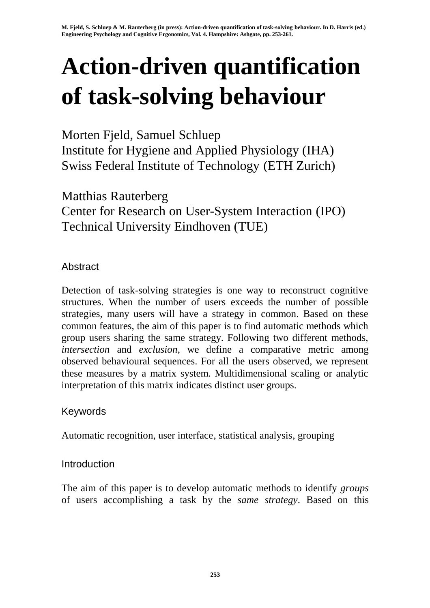# **Action-driven quantification of task-solving behaviour**

Morten Fjeld, Samuel Schluep Institute for Hygiene and Applied Physiology (IHA) Swiss Federal Institute of Technology (ETH Zurich)

Matthias Rauterberg Center for Research on User-System Interaction (IPO) Technical University Eindhoven (TUE)

## Abstract

Detection of task-solving strategies is one way to reconstruct cognitive structures. When the number of users exceeds the number of possible strategies, many users will have a strategy in common. Based on these common features, the aim of this paper is to find automatic methods which group users sharing the same strategy. Following two different methods, *intersection* and *exclusion*, we define a comparative metric among observed behavioural sequences. For all the users observed, we represent these measures by a matrix system. Multidimensional scaling or analytic interpretation of this matrix indicates distinct user groups.

## Keywords

Automatic recognition, user interface, statistical analysis, grouping

## **Introduction**

The aim of this paper is to develop automatic methods to identify *groups* of users accomplishing a task by the *same strategy*. Based on this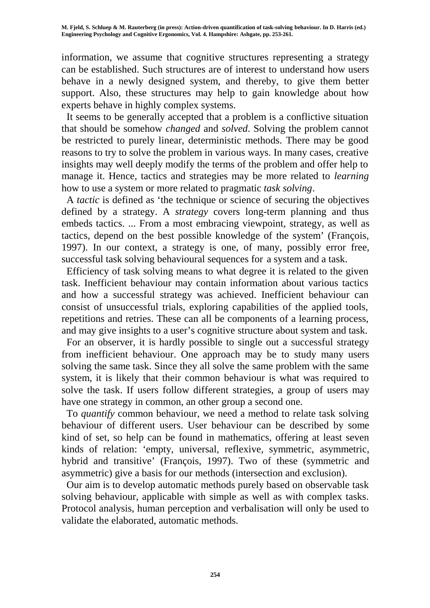information, we assume that cognitive structures representing a strategy can be established. Such structures are of interest to understand how users behave in a newly designed system, and thereby, to give them better support. Also, these structures may help to gain knowledge about how experts behave in highly complex systems.

 It seems to be generally accepted that a problem is a conflictive situation that should be somehow *changed* and *solved*. Solving the problem cannot be restricted to purely linear, deterministic methods. There may be good reasons to try to solve the problem in various ways. In many cases, creative insights may well deeply modify the terms of the problem and offer help to manage it. Hence, tactics and strategies may be more related to *learning* how to use a system or more related to pragmatic *task solving*.

 A *tactic* is defined as 'the technique or science of securing the objectives defined by a strategy. A *strategy* covers long-term planning and thus embeds tactics. ... From a most embracing viewpoint, strategy, as well as tactics, depend on the best possible knowledge of the system' (François, 1997). In our context, a strategy is one, of many, possibly error free, successful task solving behavioural sequences for a system and a task.

 Efficiency of task solving means to what degree it is related to the given task. Inefficient behaviour may contain information about various tactics and how a successful strategy was achieved. Inefficient behaviour can consist of unsuccessful trials, exploring capabilities of the applied tools, repetitions and retries. These can all be components of a learning process, and may give insights to a user's cognitive structure about system and task.

 For an observer, it is hardly possible to single out a successful strategy from inefficient behaviour. One approach may be to study many users solving the same task. Since they all solve the same problem with the same system, it is likely that their common behaviour is what was required to solve the task. If users follow different strategies, a group of users may have one strategy in common, an other group a second one.

 To *quantify* common behaviour, we need a method to relate task solving behaviour of different users. User behaviour can be described by some kind of set, so help can be found in mathematics, offering at least seven kinds of relation: 'empty, universal, reflexive, symmetric, asymmetric, hybrid and transitive' (François, 1997). Two of these (symmetric and asymmetric) give a basis for our methods (intersection and exclusion).

 Our aim is to develop automatic methods purely based on observable task solving behaviour, applicable with simple as well as with complex tasks. Protocol analysis, human perception and verbalisation will only be used to validate the elaborated, automatic methods.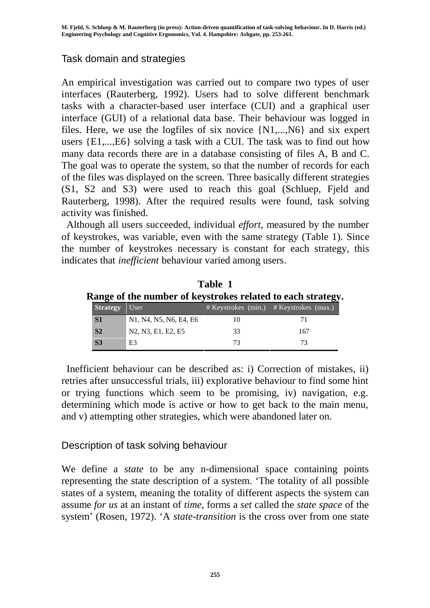#### Task domain and strategies

An empirical investigation was carried out to compare two types of user interfaces (Rauterberg, 1992). Users had to solve different benchmark tasks with a character-based user interface (CUI) and a graphical user interface (GUI) of a relational data base. Their behaviour was logged in files. Here, we use the logfiles of six novice {N1,...,N6} and six expert users {E1,...,E6} solving a task with a CUI. The task was to find out how many data records there are in a database consisting of files A, B and C. The goal was to operate the system, so that the number of records for each of the files was displayed on the screen. Three basically different strategies (S1, S2 and S3) were used to reach this goal (Schluep, Fjeld and Rauterberg, 1998). After the required results were found, task solving activity was finished.

 Although all users succeeded, individual *effort*, measured by the number of keystrokes, was variable, even with the same strategy (Table 1). Since the number of keystrokes necessary is constant for each strategy, this indicates that *inefficient* behaviour varied among users.

| Table 1                                                     |  |
|-------------------------------------------------------------|--|
| Range of the number of keystrokes related to each strategy. |  |

| <b>Strategy</b> | User                                                                                                |    | w<br>$#$ Keystrokes (min.) $#$ Keystrokes (max.) |
|-----------------|-----------------------------------------------------------------------------------------------------|----|--------------------------------------------------|
| S1              | N <sub>1</sub> , N <sub>4</sub> , N <sub>5</sub> , N <sub>6</sub> , E <sub>4</sub> , E <sub>6</sub> |    |                                                  |
| S <sub>2</sub>  | N <sub>2</sub> , N <sub>3</sub> , E <sub>1</sub> , E <sub>2</sub> , E <sub>5</sub>                  | 33 | 167                                              |
| S <sub>3</sub>  | E3                                                                                                  | 73 |                                                  |

 Inefficient behaviour can be described as: i) Correction of mistakes, ii) retries after unsuccessful trials, iii) explorative behaviour to find some hint or trying functions which seem to be promising, iv) navigation, e.g. determining which mode is active or how to get back to the main menu, and v) attempting other strategies, which were abandoned later on.

## Description of task solving behaviour

We define a *state* to be any n-dimensional space containing points representing the state description of a system. 'The totality of all possible states of a system, meaning the totality of different aspects the system can assume *for us* at an instant of *time*, forms a *set* called the *state space* of the system' (Rosen, 1972). 'A *state-transition* is the cross over from one state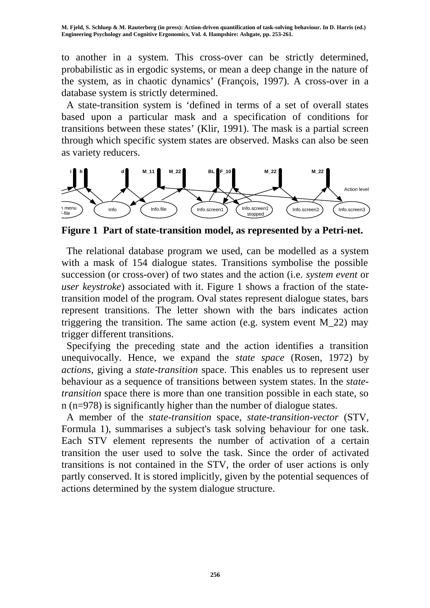to another in a system. This cross-over can be strictly determined, probabilistic as in ergodic systems, or mean a deep change in the nature of the system, as in chaotic dynamics' (François, 1997). A cross-over in a database system is strictly determined.

 A state-transition system is 'defined in terms of a set of overall states based upon a particular mask and a specification of conditions for transitions between these states' (Klir, 1991). The mask is a partial screen through which specific system states are observed. Masks can also be seen as variety reducers.



**Figure 1 Part of state-transition model, as represented by a Petri-net.**

 The relational database program we used, can be modelled as a system with a mask of 154 dialogue states. Transitions symbolise the possible succession (or cross-over) of two states and the action (i.e. *system event* or *user keystroke*) associated with it. Figure 1 shows a fraction of the statetransition model of the program. Oval states represent dialogue states, bars represent transitions. The letter shown with the bars indicates action triggering the transition. The same action (e.g. system event  $M_2$ 22) may trigger different transitions.

 Specifying the preceding state and the action identifies a transition unequivocally. Hence, we expand the *state space* (Rosen, 1972) by *actions*, giving a *state-transition* space. This enables us to represent user behaviour as a sequence of transitions between system states. In the *statetransition* space there is more than one transition possible in each state, so n (n=978) is significantly higher than the number of dialogue states.

 A member of the *state-transition* space, *state-transition-vector* (STV, Formula 1), summarises a subject's task solving behaviour for one task. Each STV element represents the number of activation of a certain transition the user used to solve the task. Since the order of activated transitions is not contained in the STV, the order of user actions is only partly conserved. It is stored implicitly, given by the potential sequences of actions determined by the system dialogue structure.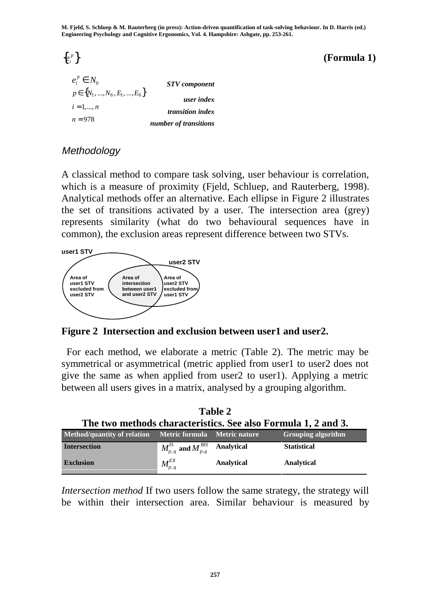**M. Fjeld, S. Schluep & M. Rauterberg (in press): Action-driven quantification of task-solving behaviour. In D. Harris (ed.) Engineering Psychology and Cognitive Ergonomics, Vol. 4. Hampshire: Ashgate, pp. 253-261.**

 $\{e_i^p\}$ 

*<sup>p</sup>* { } **(Formula 1)**

| $e_i^p \in N_0$                    | <b>STV</b> component    |
|------------------------------------|-------------------------|
| $p \in \{N_1, , N_6, E_1, , E_6\}$ | user index              |
| $i = 1, , n$                       | <i>transition index</i> |
| $n = 978$                          | number of transitions   |

## **Methodology**

A classical method to compare task solving, user behaviour is correlation, which is a measure of proximity (Fjeld, Schluep, and Rauterberg, 1998). Analytical methods offer an alternative. Each ellipse in Figure 2 illustrates the set of transitions activated by a user. The intersection area (grey) represents similarity (what do two behavioural sequences have in common), the exclusion areas represent difference between two STVs.



**Figure 2 Intersection and exclusion between user1 and user2.**

 For each method, we elaborate a metric (Table 2). The metric may be symmetrical or asymmetrical (metric applied from user1 to user2 does not give the same as when applied from user2 to user1). Applying a metric between all users gives in a matrix, analysed by a grouping algorithm.

**Table 2**

| The two methods characteristics. See also Formula 1, 2 and 3. |                                               |            |                           |  |  |  |
|---------------------------------------------------------------|-----------------------------------------------|------------|---------------------------|--|--|--|
| Method/quantity of relation Metric formula Metric nature      |                                               |            | <b>Grouping algorithm</b> |  |  |  |
| <b>Intersection</b>                                           | $M_{p,q}^{IS}$ and $M_{p,q}^{BIS}$ Analytical |            | <b>Statistical</b>        |  |  |  |
| <b>Exclusion</b>                                              | $\blacksquare M_{p,\,q}^{E X}$                | Analytical | Analytical                |  |  |  |

*Intersection method* If two users follow the same strategy, the strategy will be within their intersection area. Similar behaviour is measured by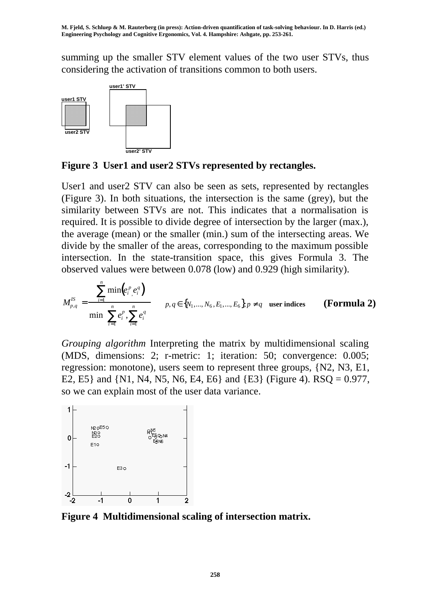summing up the smaller STV element values of the two user STVs, thus considering the activation of transitions common to both users.



**Figure 3 User1 and user2 STVs represented by rectangles.**

User1 and user2 STV can also be seen as sets, represented by rectangles (Figure 3). In both situations, the intersection is the same (grey), but the similarity between STVs are not. This indicates that a normalisation is required. It is possible to divide degree of intersection by the larger (max.), the average (mean) or the smaller (min.) sum of the intersecting areas. We divide by the smaller of the areas, corresponding to the maximum possible intersection. In the state-transition space, this gives Formula 3. The observed values were between 0.078 (low) and 0.929 (high similarity).

$$
M_{p,q}^{IS} = \frac{\sum_{i=1}^{n} \min(e_i^p, e_i^q)}{\min(\sum_{i=1}^{n} e_i^p, \sum_{i=1}^{n} e_i^q)} \qquad p, q \in \{N_1, ..., N_6, E_1, ..., E_6\}, p \neq q \quad \text{user indices} \qquad \textbf{(Formula 2)}
$$

*Grouping algorithm* Interpreting the matrix by multidimensional scaling (MDS, dimensions: 2; r-metric: 1; iteration: 50; convergence: 0.005; regression: monotone), users seem to represent three groups, {N2, N3, E1, E2, E5} and {N1, N4, N5, N6, E4, E6} and {E3} (Figure 4). RSQ = 0.977, so we can explain most of the user data variance.



**Figure 4 Multidimensional scaling of intersection matrix.**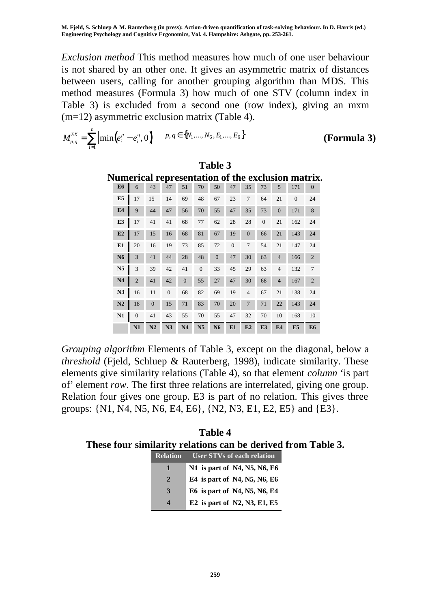*Exclusion method* This method measures how much of one user behaviour is not shared by an other one. It gives an asymmetric matrix of distances between users, calling for another grouping algorithm than MDS. This method measures (Formula 3) how much of one STV (column index in Table 3) is excluded from a second one (row index), giving an mxm (m=12) asymmetric exclusion matrix (Table 4).

$$
M_{p,q}^{EX} = \sum_{i=1}^{n} \left| \min(e_i^p - e_i^q, 0) \right| \quad p, q \in \{N_1, ..., N_6, E_1, ..., E_6\}
$$
 (Formula 3)

**Table 3**

| Numerical representation of the exclusion matrix. |                |                |                |                |                |                |                |                |                |                |                |                |                |
|---------------------------------------------------|----------------|----------------|----------------|----------------|----------------|----------------|----------------|----------------|----------------|----------------|----------------|----------------|----------------|
|                                                   | E <sub>6</sub> | 6              | 43             | 47             | 51             | 70             | 50             | 47             | 35             | 73             | 5              | 171            | $\theta$       |
|                                                   | E <sub>5</sub> | 17             | 15             | 14             | 69             | 48             | 67             | 23             | $\overline{7}$ | 64             | 21             | $\theta$       | 24             |
|                                                   | E4             | 9              | 44             | 47             | 56             | 70             | 55             | 47             | 35             | 73             | $\overline{0}$ | 171            | 8              |
|                                                   | E <sub>3</sub> | 17             | 41             | 41             | 68             | 77             | 62             | 28             | 28             | $\overline{0}$ | 21             | 162            | 24             |
|                                                   | E2             | 17             | 15             | 16             | 68             | 81             | 67             | 19             | $\overline{0}$ | 66             | 21             | 143            | 24             |
|                                                   | E1             | 20             | 16             | 19             | 73             | 85             | 72             | $\overline{0}$ | $\overline{7}$ | 54             | 21             | 147            | 24             |
|                                                   | N <sub>6</sub> | 3              | 41             | 44             | 28             | 48             | $\Omega$       | 47             | 30             | 63             | $\overline{4}$ | 166            | $\overline{2}$ |
|                                                   | N <sub>5</sub> | 3              | 39             | 42             | 41             | $\overline{0}$ | 33             | 45             | 29             | 63             | $\overline{4}$ | 132            | 7              |
|                                                   | N <sub>4</sub> | $\overline{2}$ | 41             | 42             | $\theta$       | 55             | 27             | 47             | 30             | 68             | $\overline{4}$ | 167            | $\overline{2}$ |
|                                                   | N3             | 16             | 11             | $\overline{0}$ | 68             | 82             | 69             | 19             | $\overline{4}$ | 67             | 21             | 138            | 24             |
|                                                   | N <sub>2</sub> | 18             | $\overline{0}$ | 15             | 71             | 83             | 70             | 20             | $\overline{7}$ | 71             | 22             | 143            | 24             |
|                                                   | N1             | $\theta$       | 41             | 43             | 55             | 70             | 55             | 47             | 32             | 70             | 10             | 168            | 10             |
|                                                   |                | N1             | N2             | N3             | N <sub>4</sub> | N <sub>5</sub> | N <sub>6</sub> | E1             | E2             | E <sub>3</sub> | E <sub>4</sub> | E <sub>5</sub> | E <sub>6</sub> |

*Grouping algorithm* Elements of Table 3, except on the diagonal, below a *threshold* (Fjeld, Schluep & Rauterberg, 1998), indicate similarity. These elements give similarity relations (Table 4), so that element *column* 'is part of' element *row*. The first three relations are interrelated, giving one group. Relation four gives one group. E3 is part of no relation. This gives three groups: {N1, N4, N5, N6, E4, E6}, {N2, N3, E1, E2, E5} and {E3}.

**Table 4 These four similarity relations can be derived from Table 3.**

| <b>Relation</b>       | User STVs of each relation         |
|-----------------------|------------------------------------|
| 1                     | N1 is part of N4, N5, N6, E6       |
| $\overline{2}$        | E4 is part of N4, N5, N6, E6       |
| 3                     | E6 is part of N4, N5, N6, E4       |
| $\boldsymbol{\Delta}$ | E2 is part of $N2$ , $N3$ , E1, E5 |